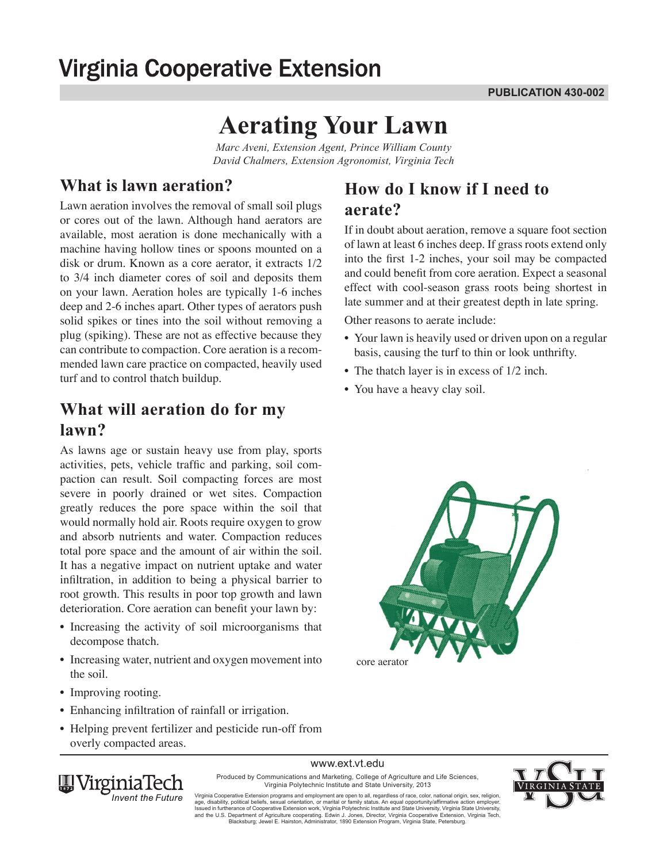# **Virginia Cooperative Extension**

# **Aerating Your Lawn**

*Marc Aveni, Extension Agent, Prince William County David Chalmers, Extension Agronomist, Virginia Tech*

#### **What is lawn aeration?**

Lawn aeration involves the removal of small soil plugs or cores out of the lawn. Although hand aerators are available, most aeration is done mechanically with a machine having hollow tines or spoons mounted on a disk or drum. Known as a core aerator, it extracts 1/2 to 3/4 inch diameter cores of soil and deposits them on your lawn. Aeration holes are typically 1-6 inches deep and 2-6 inches apart. Other types of aerators push solid spikes or tines into the soil without removing a plug (spiking). These are not as effective because they can contribute to compaction. Core aeration is a recommended lawn care practice on compacted, heavily used turf and to control thatch buildup.

#### **What will aeration do for my lawn?**

As lawns age or sustain heavy use from play, sports activities, pets, vehicle traffic and parking, soil compaction can result. Soil compacting forces are most severe in poorly drained or wet sites. Compaction greatly reduces the pore space within the soil that would normally hold air. Roots require oxygen to grow and absorb nutrients and water. Compaction reduces total pore space and the amount of air within the soil. It has a negative impact on nutrient uptake and water infiltration, in addition to being a physical barrier to root growth. This results in poor top growth and lawn deterioration. Core aeration can benefit your lawn by:

- Increasing the activity of soil microorganisms that decompose thatch.
- Increasing water, nutrient and oxygen movement into the soil.
- Improving rooting.
- Enhancing infiltration of rainfall or irrigation.
- Helping prevent fertilizer and pesticide run-off from overly compacted areas.

## **How do I know if I need to aerate?**

If in doubt about aeration, remove a square foot section of lawn at least 6 inches deep. If grass roots extend only into the first 1-2 inches, your soil may be compacted and could benefit from core aeration. Expect a seasonal effect with cool-season grass roots being shortest in late summer and at their greatest depth in late spring.

Other reasons to aerate include:

- Your lawn is heavily used or driven upon on a regular basis, causing the turf to thin or look unthrifty.
- The thatch layer is in excess of  $1/2$  inch.
- You have a heavy clay soil.



www.ext.vt.edu Produced by Communications and Marketing, College of Agriculture and Life Sciences,



Virginia Polytechnic Institute and State University, 2013 Virginia Cooperative Extension programs and employment are open to all, regardless of race, color, national origin, sex, religion,<br>age, disability, political beliefs, sexual orientation, or marital or family status. An equ and the U.S. Department of Agriculture cooperating. Edwin J. Jones, Director, Virginia Cooperative Extension, Virginia Tech,

Blacksburg; Jewel E. Hairston, Administrator, 1890 Extension Program, Virginia State, Petersburg.